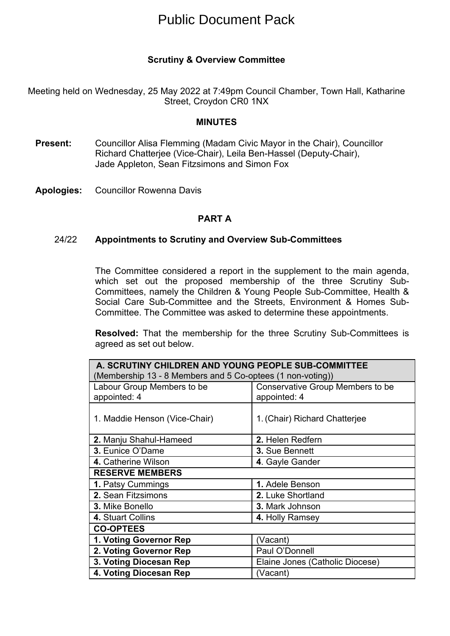# Public Document Pack

## **Scrutiny & Overview Committee**

Meeting held on Wednesday, 25 May 2022 at 7:49pm Council Chamber, Town Hall, Katharine Street, Croydon CR0 1NX

### **MINUTES**

- **Present:** Councillor Alisa Flemming (Madam Civic Mayor in the Chair), Councillor Richard Chatterjee (Vice-Chair), Leila Ben-Hassel (Deputy-Chair), Jade Appleton, Sean Fitzsimons and Simon Fox
- **Apologies:** Councillor Rowenna Davis

#### **PART A**

#### 24/22 **Appointments to Scrutiny and Overview Sub-Committees**

The Committee considered a report in the supplement to the main agenda, which set out the proposed membership of the three Scrutiny Sub-Committees, namely the Children & Young People Sub-Committee, Health & Social Care Sub-Committee and the Streets, Environment & Homes Sub-Committee. The Committee was asked to determine these appointments.

**Resolved:** That the membership for the three Scrutiny Sub-Committees is agreed as set out below.

| A. SCRUTINY CHILDREN AND YOUNG PEOPLE SUB-COMMITTEE<br>(Membership 13 - 8 Members and 5 Co-optees (1 non-voting)) |                                                  |  |
|-------------------------------------------------------------------------------------------------------------------|--------------------------------------------------|--|
| Labour Group Members to be<br>appointed: 4                                                                        | Conservative Group Members to be<br>appointed: 4 |  |
| 1. Maddie Henson (Vice-Chair)                                                                                     | 1. (Chair) Richard Chatterjee                    |  |
| 2. Manju Shahul-Hameed                                                                                            | 2. Helen Redfern                                 |  |
| 3. Eunice O'Dame                                                                                                  | 3. Sue Bennett                                   |  |
| 4. Catherine Wilson                                                                                               | 4. Gayle Gander                                  |  |
| <b>RESERVE MEMBERS</b>                                                                                            |                                                  |  |
| 1. Patsy Cummings                                                                                                 | 1. Adele Benson                                  |  |
| 2. Sean Fitzsimons                                                                                                | 2. Luke Shortland                                |  |
| 3. Mike Bonello                                                                                                   | 3. Mark Johnson                                  |  |
| 4. Stuart Collins                                                                                                 | 4. Holly Ramsey                                  |  |
| <b>CO-OPTEES</b>                                                                                                  |                                                  |  |
| 1. Voting Governor Rep                                                                                            | (Vacant)                                         |  |
| 2. Voting Governor Rep                                                                                            | Paul O'Donnell                                   |  |
| 3. Voting Diocesan Rep                                                                                            | Elaine Jones (Catholic Diocese)                  |  |
| 4. Voting Diocesan Rep                                                                                            | (Vacant)                                         |  |